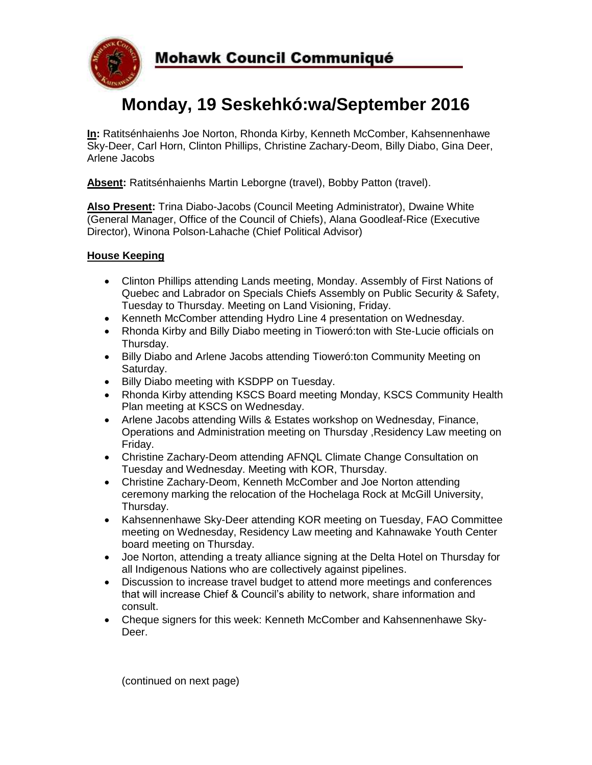

# **Monday, 19 Seskehkó:wa/September 2016**

**In:** Ratitsénhaienhs Joe Norton, Rhonda Kirby, Kenneth McComber, Kahsennenhawe Sky-Deer, Carl Horn, Clinton Phillips, Christine Zachary-Deom, Billy Diabo, Gina Deer, Arlene Jacobs

**Absent:** Ratitsénhaienhs Martin Leborgne (travel), Bobby Patton (travel).

**Also Present:** Trina Diabo-Jacobs (Council Meeting Administrator), Dwaine White (General Manager, Office of the Council of Chiefs), Alana Goodleaf-Rice (Executive Director), Winona Polson-Lahache (Chief Political Advisor)

# **House Keeping**

- Clinton Phillips attending Lands meeting, Monday. Assembly of First Nations of Quebec and Labrador on Specials Chiefs Assembly on Public Security & Safety, Tuesday to Thursday. Meeting on Land Visioning, Friday.
- Kenneth McComber attending Hydro Line 4 presentation on Wednesday.
- Rhonda Kirby and Billy Diabo meeting in Tioweró:ton with Ste-Lucie officials on Thursday.
- Billy Diabo and Arlene Jacobs attending Tioweró:ton Community Meeting on Saturday.
- Billy Diabo meeting with KSDPP on Tuesday.
- Rhonda Kirby attending KSCS Board meeting Monday, KSCS Community Health Plan meeting at KSCS on Wednesday.
- Arlene Jacobs attending Wills & Estates workshop on Wednesday, Finance, Operations and Administration meeting on Thursday ,Residency Law meeting on Friday.
- Christine Zachary-Deom attending AFNQL Climate Change Consultation on Tuesday and Wednesday. Meeting with KOR, Thursday.
- Christine Zachary-Deom, Kenneth McComber and Joe Norton attending ceremony marking the relocation of the Hochelaga Rock at McGill University, Thursday.
- Kahsennenhawe Sky-Deer attending KOR meeting on Tuesday, FAO Committee meeting on Wednesday, Residency Law meeting and Kahnawake Youth Center board meeting on Thursday.
- Joe Norton, attending a treaty alliance signing at the Delta Hotel on Thursday for all Indigenous Nations who are collectively against pipelines.
- Discussion to increase travel budget to attend more meetings and conferences that will increase Chief & Council's ability to network, share information and consult.
- Cheque signers for this week: Kenneth McComber and Kahsennenhawe Sky-Deer.

(continued on next page)